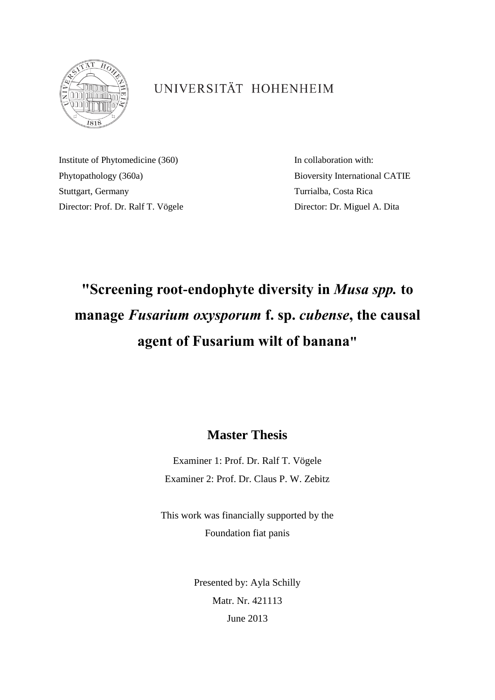

## UNIVERSITÄT HOHENHEIM

Institute of Phytomedicine (360) In collaboration with: Phytopathology (360a) Bioversity International CATIE Stuttgart, Germany Turrialba, Costa Rica Director: Prof. Dr. Ralf T. Vögele Director: Dr. Miguel A. Dita

## **"Screening root-endophyte diversity in** *Musa spp.* **to manage** *Fusarium oxysporum* **f. sp.** *cubense***, the causal agent of Fusarium wilt of banana"**

## **Master Thesis**

Examiner 1: Prof. Dr. Ralf T. Vögele Examiner 2: Prof. Dr. Claus P. W. Zebitz

This work was financially supported by the Foundation fiat panis

> Presented by: Ayla Schilly Matr. Nr. 421113 June 2013